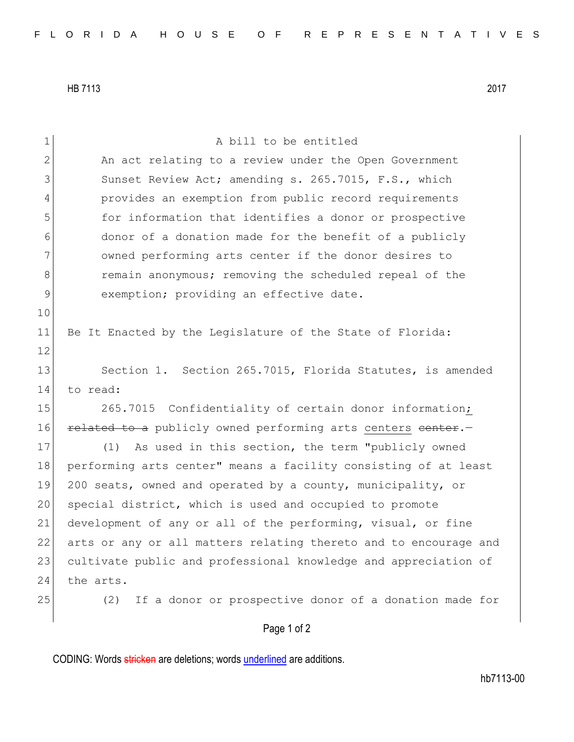HB 7113 2017

| $\mathbf 1$    | A bill to be entitled                                            |
|----------------|------------------------------------------------------------------|
| $\overline{2}$ | An act relating to a review under the Open Government            |
| 3              | Sunset Review Act; amending s. 265.7015, F.S., which             |
| 4              | provides an exemption from public record requirements            |
| 5              | for information that identifies a donor or prospective           |
| 6              | donor of a donation made for the benefit of a publicly           |
| 7              | owned performing arts center if the donor desires to             |
| 8              | remain anonymous; removing the scheduled repeal of the           |
| $\mathcal{G}$  | exemption; providing an effective date.                          |
| 10             |                                                                  |
| 11             | Be It Enacted by the Legislature of the State of Florida:        |
| 12             |                                                                  |
| 13             | Section 1. Section 265.7015, Florida Statutes, is amended        |
| 14             | to read:                                                         |
| 15             | 265.7015 Confidentiality of certain donor information;           |
| 16             | related to a publicly owned performing arts centers center.-     |
| 17             | As used in this section, the term "publicly owned<br>(1)         |
| 18             | performing arts center" means a facility consisting of at least  |
| 19             | 200 seats, owned and operated by a county, municipality, or      |
| 20             | special district, which is used and occupied to promote          |
| 21             | development of any or all of the performing, visual, or fine     |
| 22             | arts or any or all matters relating thereto and to encourage and |
| 23             | cultivate public and professional knowledge and appreciation of  |
| 24             | the arts.                                                        |
| 25             | If a donor or prospective donor of a donation made for<br>(2)    |
|                | Page 1 of 2                                                      |

CODING: Words stricken are deletions; words underlined are additions.